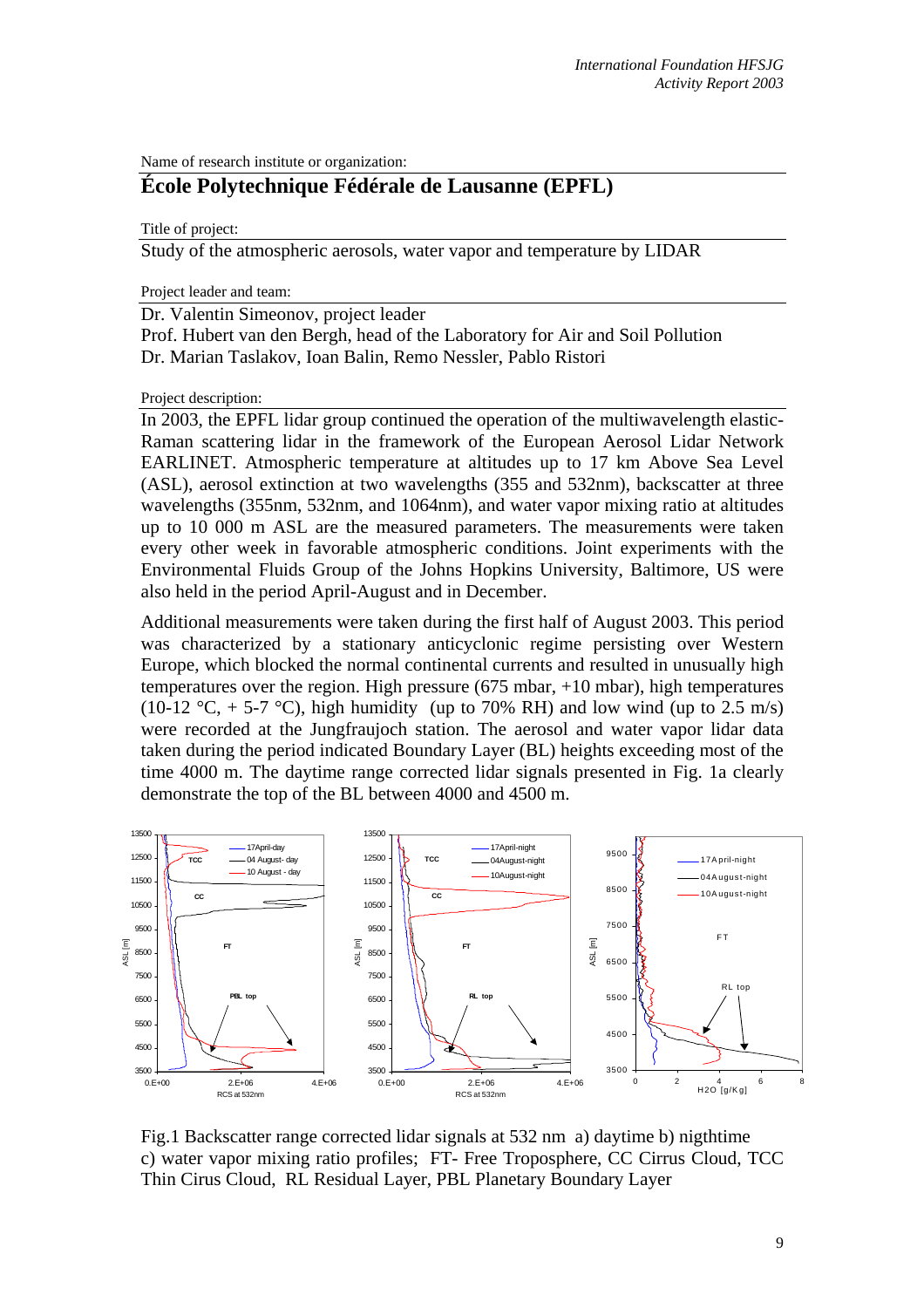Name of research institute or organization:

# **École Polytechnique Fédérale de Lausanne (EPFL)**

Title of project:

Study of the atmospheric aerosols, water vapor and temperature by LIDAR

Project leader and team:

Dr. Valentin Simeonov, project leader Prof. Hubert van den Bergh, head of the Laboratory for Air and Soil Pollution Dr. Marian Taslakov, Ioan Balin, Remo Nessler, Pablo Ristori

## Project description:

In 2003, the EPFL lidar group continued the operation of the multiwavelength elastic-Raman scattering lidar in the framework of the European Aerosol Lidar Network EARLINET. Atmospheric temperature at altitudes up to 17 km Above Sea Level (ASL), aerosol extinction at two wavelengths (355 and 532nm), backscatter at three wavelengths (355nm, 532nm, and 1064nm), and water vapor mixing ratio at altitudes up to 10 000 m ASL are the measured parameters. The measurements were taken every other week in favorable atmospheric conditions. Joint experiments with the Environmental Fluids Group of the Johns Hopkins University, Baltimore, US were also held in the period April-August and in December.

Additional measurements were taken during the first half of August 2003. This period was characterized by a stationary anticyclonic regime persisting over Western Europe, which blocked the normal continental currents and resulted in unusually high temperatures over the region. High pressure (675 mbar, +10 mbar), high temperatures (10-12 °C,  $+$  5-7 °C), high humidity (up to 70% RH) and low wind (up to 2.5 m/s) were recorded at the Jungfraujoch station. The aerosol and water vapor lidar data taken during the period indicated Boundary Layer (BL) heights exceeding most of the time 4000 m. The daytime range corrected lidar signals presented in Fig. 1a clearly demonstrate the top of the BL between 4000 and 4500 m.



Fig.1 Backscatter range corrected lidar signals at 532 nm a) daytime b) nigthtime c) water vapor mixing ratio profiles; FT- Free Troposphere, CC Cirrus Cloud, TCC Thin Cirus Cloud, RL Residual Layer, PBL Planetary Boundary Layer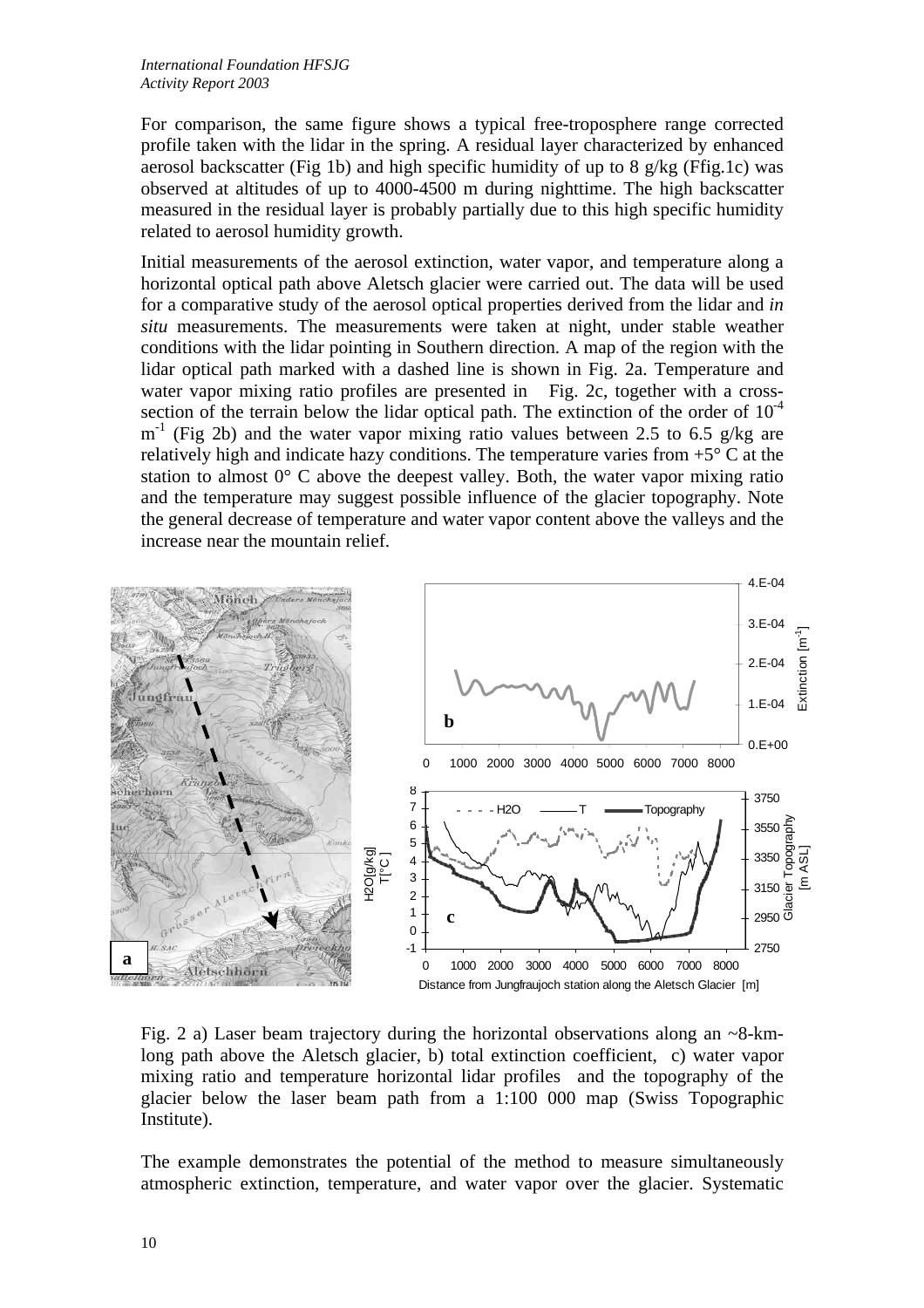For comparison, the same figure shows a typical free-troposphere range corrected profile taken with the lidar in the spring. A residual layer characterized by enhanced aerosol backscatter (Fig 1b) and high specific humidity of up to 8 g/kg (Ffig.1c) was observed at altitudes of up to 4000-4500 m during nighttime. The high backscatter measured in the residual layer is probably partially due to this high specific humidity related to aerosol humidity growth.

Initial measurements of the aerosol extinction, water vapor, and temperature along a horizontal optical path above Aletsch glacier were carried out. The data will be used for a comparative study of the aerosol optical properties derived from the lidar and *in situ* measurements. The measurements were taken at night, under stable weather conditions with the lidar pointing in Southern direction. A map of the region with the lidar optical path marked with a dashed line is shown in Fig. 2a. Temperature and water vapor mixing ratio profiles are presented in Fig. 2c, together with a crosssection of the terrain below the lidar optical path. The extinction of the order of  $10^{-4}$  $m^{-1}$  (Fig 2b) and the water vapor mixing ratio values between 2.5 to 6.5 g/kg are relatively high and indicate hazy conditions. The temperature varies from  $+5^{\circ}$  C at the station to almost  $0^{\circ}$  C above the deepest valley. Both, the water vapor mixing ratio and the temperature may suggest possible influence of the glacier topography. Note the general decrease of temperature and water vapor content above the valleys and the increase near the mountain relief.



Fig. 2 a) Laser beam trajectory during the horizontal observations along an ~8-kmlong path above the Aletsch glacier, b) total extinction coefficient, c) water vapor mixing ratio and temperature horizontal lidar profiles and the topography of the glacier below the laser beam path from a 1:100 000 map (Swiss Topographic Institute).

The example demonstrates the potential of the method to measure simultaneously atmospheric extinction, temperature, and water vapor over the glacier. Systematic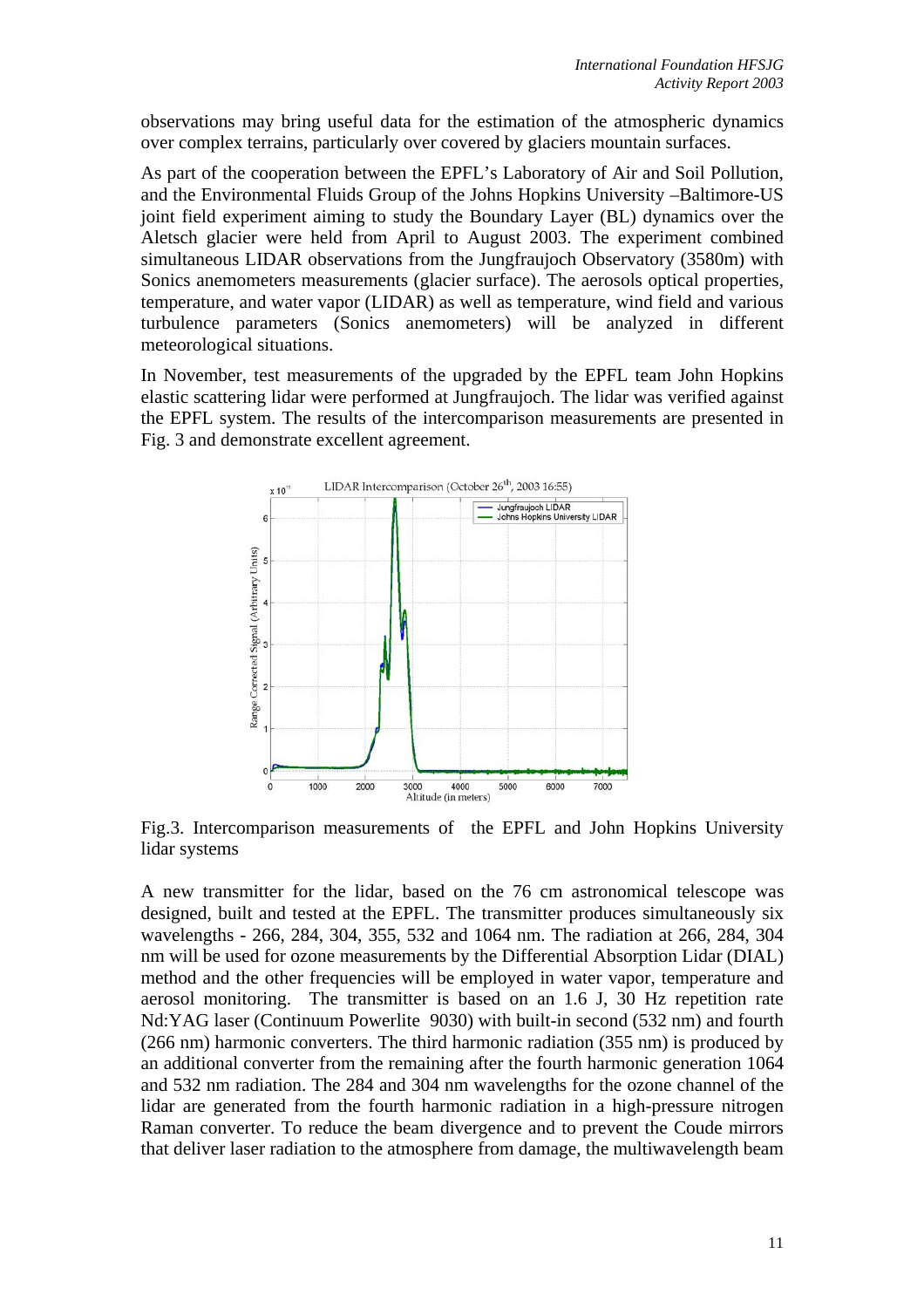observations may bring useful data for the estimation of the atmospheric dynamics over complex terrains, particularly over covered by glaciers mountain surfaces.

As part of the cooperation between the EPFL's Laboratory of Air and Soil Pollution, and the Environmental Fluids Group of the Johns Hopkins University –Baltimore-US joint field experiment aiming to study the Boundary Layer (BL) dynamics over the Aletsch glacier were held from April to August 2003. The experiment combined simultaneous LIDAR observations from the Jungfraujoch Observatory (3580m) with Sonics anemometers measurements (glacier surface). The aerosols optical properties, temperature, and water vapor (LIDAR) as well as temperature, wind field and various turbulence parameters (Sonics anemometers) will be analyzed in different meteorological situations.

In November, test measurements of the upgraded by the EPFL team John Hopkins elastic scattering lidar were performed at Jungfraujoch. The lidar was verified against the EPFL system. The results of the intercomparison measurements are presented in Fig. 3 and demonstrate excellent agreement.



Fig.3. Intercomparison measurements of the EPFL and John Hopkins University lidar systems

A new transmitter for the lidar, based on the 76 cm astronomical telescope was designed, built and tested at the EPFL. The transmitter produces simultaneously six wavelengths - 266, 284, 304, 355, 532 and 1064 nm. The radiation at 266, 284, 304 nm will be used for ozone measurements by the Differential Absorption Lidar (DIAL) method and the other frequencies will be employed in water vapor, temperature and aerosol monitoring. The transmitter is based on an 1.6 J, 30 Hz repetition rate Nd:YAG laser (Continuum Powerlite 9030) with built-in second (532 nm) and fourth (266 nm) harmonic converters. The third harmonic radiation (355 nm) is produced by an additional converter from the remaining after the fourth harmonic generation 1064 and 532 nm radiation. The 284 and 304 nm wavelengths for the ozone channel of the lidar are generated from the fourth harmonic radiation in a high-pressure nitrogen Raman converter. To reduce the beam divergence and to prevent the Coude mirrors that deliver laser radiation to the atmosphere from damage, the multiwavelength beam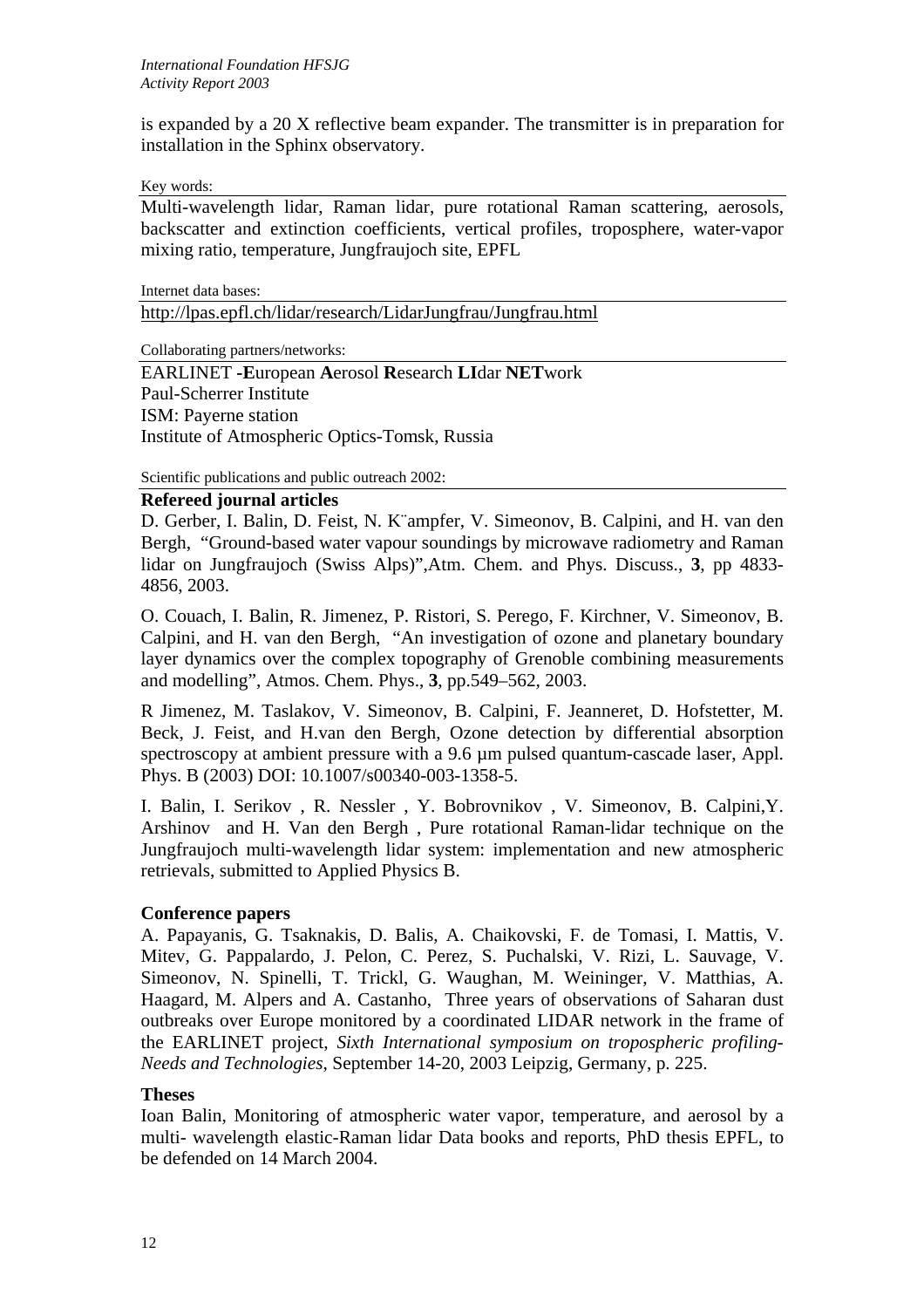is expanded by a 20 X reflective beam expander. The transmitter is in preparation for installation in the Sphinx observatory.

#### Key words:

Multi-wavelength lidar, Raman lidar, pure rotational Raman scattering, aerosols, backscatter and extinction coefficients, vertical profiles, troposphere, water-vapor mixing ratio, temperature, Jungfraujoch site, EPFL

Internet data bases:

[http://lpas.epfl.ch/lidar/research/LidarJungfrau/Jungfrau.html](http://kspc4.unibe.ch/nm)

Collaborating partners/networks:

EARLINET **-E**uropean **A**erosol **R**esearch **LI**dar **NET**work Paul-Scherrer Institute ISM: Payerne station Institute of Atmospheric Optics-Tomsk, Russia

Scientific publications and public outreach 2002:

## **Refereed journal articles**

D. Gerber, I. Balin, D. Feist, N. K¨ampfer, V. Simeonov, B. Calpini, and H. van den Bergh, "Ground-based water vapour soundings by microwave radiometry and Raman lidar on Jungfraujoch (Swiss Alps)",Atm. Chem. and Phys. Discuss., **3**, pp 4833- 4856, 2003.

O. Couach, I. Balin, R. Jimenez, P. Ristori, S. Perego, F. Kirchner, V. Simeonov, B. Calpini, and H. van den Bergh, "An investigation of ozone and planetary boundary layer dynamics over the complex topography of Grenoble combining measurements and modelling", Atmos. Chem. Phys., **3**, pp.549–562, 2003.

R Jimenez, M. Taslakov, V. Simeonov, B. Calpini, F. Jeanneret, D. Hofstetter, M. Beck, J. Feist, and H.van den Bergh, Ozone detection by differential absorption spectroscopy at ambient pressure with a 9.6 µm pulsed quantum-cascade laser, Appl. Phys. B (2003) DOI: 10.1007/s00340-003-1358-5.

I. Balin, I. Serikov , R. Nessler , Y. Bobrovnikov , V. Simeonov, B. Calpini,Y. Arshinov and H. Van den Bergh , Pure rotational Raman-lidar technique on the Jungfraujoch multi-wavelength lidar system: implementation and new atmospheric retrievals, submitted to Applied Physics B.

## **Conference papers**

A. Papayanis, G. Tsaknakis, D. Balis, A. Chaikovski, F. de Tomasi, I. Mattis, V. Mitev, G. Pappalardo, J. Pelon, C. Perez, S. Puchalski, V. Rizi, L. Sauvage, V. Simeonov, N. Spinelli, T. Trickl, G. Waughan, M. Weininger, V. Matthias, A. Haagard, M. Alpers and A. Castanho, Three years of observations of Saharan dust outbreaks over Europe monitored by a coordinated LIDAR network in the frame of the EARLINET project, *Sixth International symposium on tropospheric profiling-Needs and Technologies*, September 14-20, 2003 Leipzig, Germany, p. 225.

## **Theses**

Ioan Balin, Monitoring of atmospheric water vapor, temperature, and aerosol by a multi- wavelength elastic-Raman lidar Data books and reports, PhD thesis EPFL, to be defended on 14 March 2004.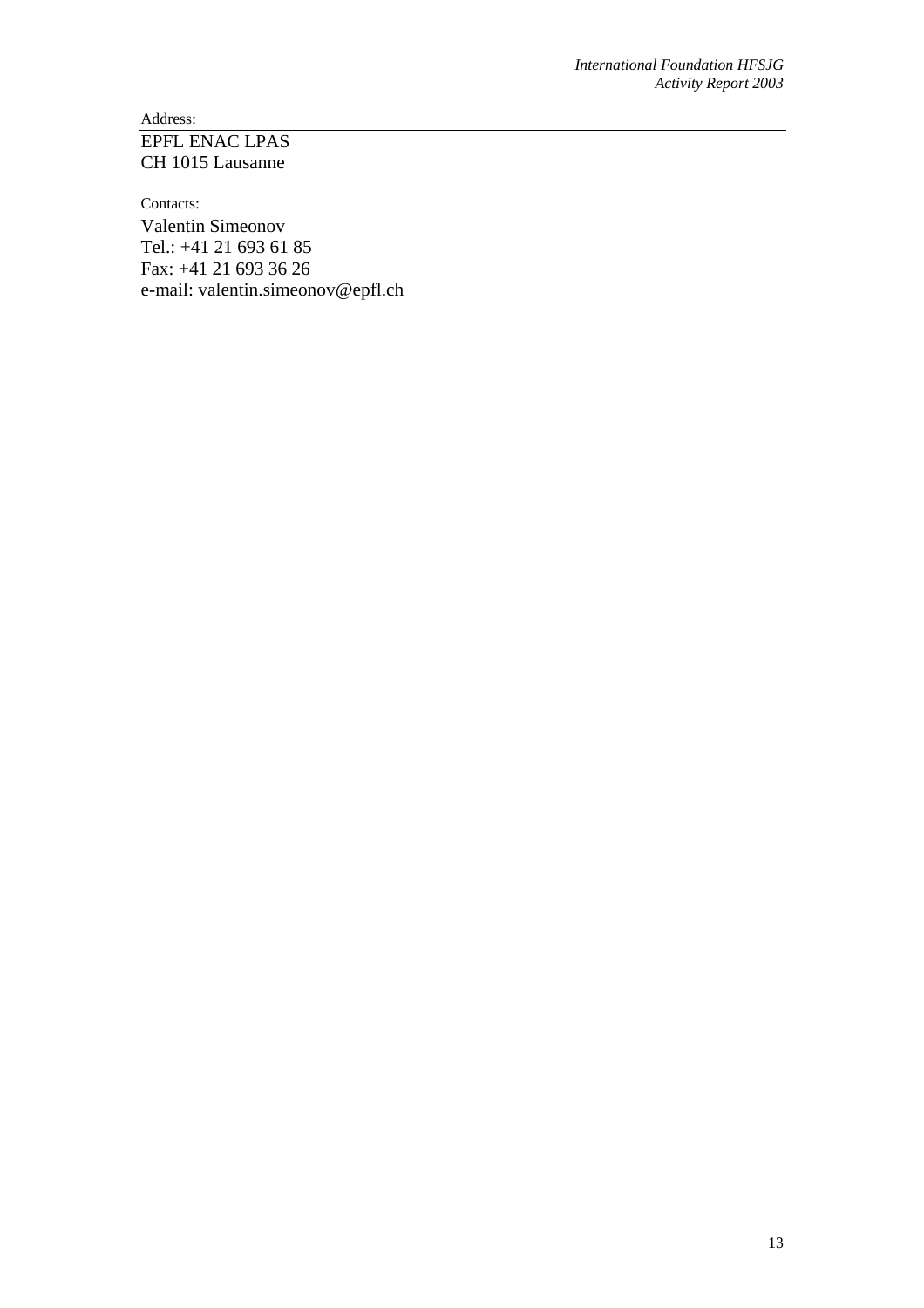Address:

# EPFL ENAC LPAS CH 1015 Lausanne

Contacts:

Valentin Simeonov Tel.: +41 21 693 61 85 Fax: +41 21 693 36 26 e-mail: valentin.simeonov@epfl.ch